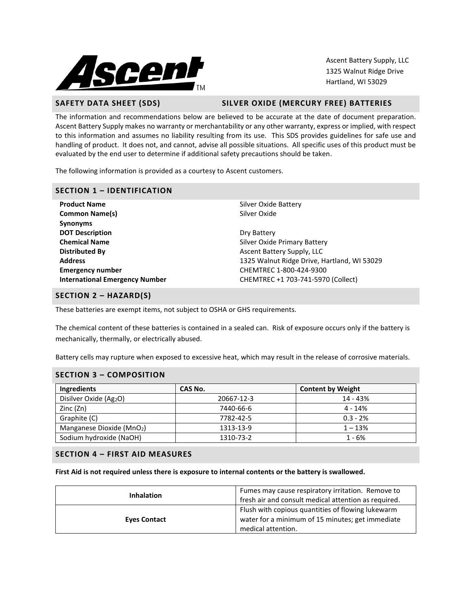

Ascent Battery Supply, LLC 1325 Walnut Ridge Drive Hartland, WI 53029

**SAFETY DATA SHEET (SDS) SILVER OXIDE (MERCURY FREE) BATTERIES**

The information and recommendations below are believed to be accurate at the date of document preparation. Ascent Battery Supply makes no warranty or merchantability or any other warranty, express or implied, with respect to this information and assumes no liability resulting from its use. This SDS provides guidelines for safe use and handling of product. It does not, and cannot, advise all possible situations. All specific uses of this product must be evaluated by the end user to determine if additional safety precautions should be taken.

The following information is provided as a courtesy to Ascent customers.

### **SECTION 1 – IDENTIFICATION**

**Product Name** Silver Oxide Battery **Common Name(s)** Silver Oxide **Synonyms DOT Description** Dry Battery **Chemical Name** Silver Oxide Primary Battery **Distributed By Ascent Battery Supply, LLC Emergency number** CHEMTREC 1-800-424-9300

**Address** 1325 Walnut Ridge Drive, Hartland, WI 53029 **International Emergency Number** CHEMTREC +1 703-741-5970 (Collect)

## **SECTION 2 – HAZARD(S)**

These batteries are exempt items, not subject to OSHA or GHS requirements.

The chemical content of these batteries is contained in a sealed can. Risk of exposure occurs only if the battery is mechanically, thermally, or electrically abused.

Battery cells may rupture when exposed to excessive heat, which may result in the release of corrosive materials.

### **SECTION 3 – COMPOSITION**

| Ingredients              | CAS No.    | <b>Content by Weight</b> |  |  |
|--------------------------|------------|--------------------------|--|--|
| Disilver Oxide (Ag2O)    | 20667-12-3 | 14 - 43%                 |  |  |
| Zinc (Zn)                | 7440-66-6  | 4 - 14%                  |  |  |
| Graphite (C)             | 7782-42-5  | $0.3 - 2%$               |  |  |
| Manganese Dioxide (MnO2) | 1313-13-9  | $1 - 13%$                |  |  |
| Sodium hydroxide (NaOH)  | 1310-73-2  | $1 - 6%$                 |  |  |

## **SECTION 4 – FIRST AID MEASURES**

**First Aid is not required unless there is exposure to internal contents or the battery is swallowed.**

| <b>Inhalation</b>   | Fumes may cause respiratory irritation. Remove to<br>fresh air and consult medical attention as required.                   |  |  |
|---------------------|-----------------------------------------------------------------------------------------------------------------------------|--|--|
| <b>Eves Contact</b> | Flush with copious quantities of flowing lukewarm<br>water for a minimum of 15 minutes; get immediate<br>medical attention. |  |  |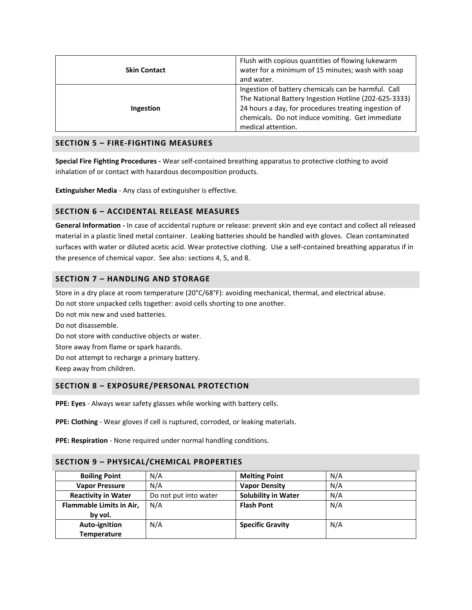| <b>Skin Contact</b> | Flush with copious quantities of flowing lukewarm<br>water for a minimum of 15 minutes; wash with soap<br>and water.                                                                                                                           |
|---------------------|------------------------------------------------------------------------------------------------------------------------------------------------------------------------------------------------------------------------------------------------|
| Ingestion           | Ingestion of battery chemicals can be harmful. Call<br>The National Battery Ingestion Hotline (202-625-3333)<br>24 hours a day, for procedures treating ingestion of<br>chemicals. Do not induce vomiting. Get immediate<br>medical attention. |

## **SECTION 5 – FIRE-FIGHTING MEASURES**

**Special Fire Fighting Procedures -** Wear self-contained breathing apparatus to protective clothing to avoid inhalation of or contact with hazardous decomposition products.

**Extinguisher Media** - Any class of extinguisher is effective.

## **SECTION 6 – ACCIDENTAL RELEASE MEASURES**

**General Information -** In case of accidental rupture or release: prevent skin and eye contact and collect all released material in a plastic lined metal container. Leaking batteries should be handled with gloves. Clean contaminated surfaces with water or diluted acetic acid. Wear protective clothing. Use a self-contained breathing apparatus if in the presence of chemical vapor. See also: sections 4, 5, and 8.

## **SECTION 7 – HANDLING AND STORAGE**

Store in a dry place at room temperature (20°C/68°F): avoiding mechanical, thermal, and electrical abuse.

Do not store unpacked cells together: avoid cells shorting to one another.

Do not mix new and used batteries.

Do not disassemble. Do not store with conductive objects or water. Store away from flame or spark hazards. Do not attempt to recharge a primary battery. Keep away from children.

## **SECTION 8 – EXPOSURE/PERSONAL PROTECTION**

**PPE: Eyes** - Always wear safety glasses while working with battery cells.

**PPE: Clothing** - Wear gloves if cell is ruptured, corroded, or leaking materials.

**PPE: Respiration** - None required under normal handling conditions.

| SECTION 9 - PHYSICAL/CHEMICAL PROPERTIES |                       |                            |     |
|------------------------------------------|-----------------------|----------------------------|-----|
| <b>Boiling Point</b>                     | N/A                   | <b>Melting Point</b>       | N/A |
| <b>Vapor Pressure</b>                    | N/A                   | <b>Vapor Density</b>       | N/A |
| <b>Reactivity in Water</b>               | Do not put into water | <b>Solubility in Water</b> | N/A |
| Flammable Limits in Air,                 | N/A                   | <b>Flash Pont</b>          | N/A |
| by vol.                                  |                       |                            |     |
| Auto-ignition                            | N/A                   | <b>Specific Gravity</b>    | N/A |
| <b>Temperature</b>                       |                       |                            |     |

# **SECTION 9 – PHYSICAL/CHEMICAL PROPERTIES**